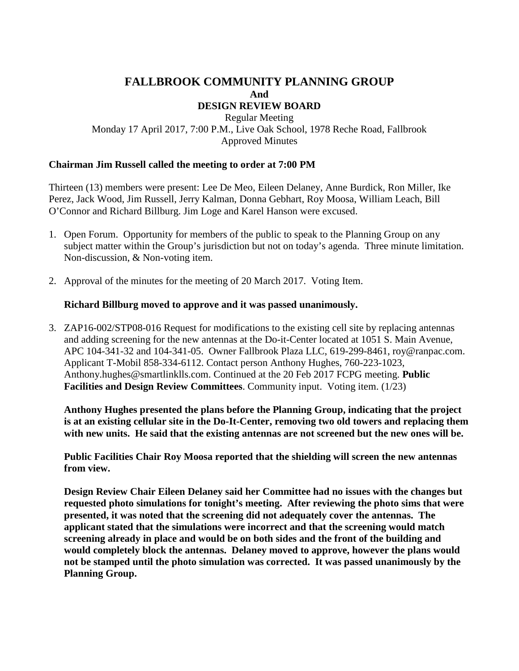# **FALLBROOK COMMUNITY PLANNING GROUP And DESIGN REVIEW BOARD**

Regular Meeting Monday 17 April 2017, 7:00 P.M., Live Oak School, 1978 Reche Road, Fallbrook Approved Minutes

#### **Chairman Jim Russell called the meeting to order at 7:00 PM**

Thirteen (13) members were present: Lee De Meo, Eileen Delaney, Anne Burdick, Ron Miller, Ike Perez, Jack Wood, Jim Russell, Jerry Kalman, Donna Gebhart, Roy Moosa, William Leach, Bill O'Connor and Richard Billburg. Jim Loge and Karel Hanson were excused.

- 1. Open Forum. Opportunity for members of the public to speak to the Planning Group on any subject matter within the Group's jurisdiction but not on today's agenda. Three minute limitation. Non-discussion, & Non-voting item.
- 2. Approval of the minutes for the meeting of 20 March 2017. Voting Item.

#### **Richard Billburg moved to approve and it was passed unanimously.**

3. ZAP16-002/STP08-016 Request for modifications to the existing cell site by replacing antennas and adding screening for the new antennas at the Do-it-Center located at 1051 S. Main Avenue, APC 104-341-32 and 104-341-05. Owner Fallbrook Plaza LLC, 619-299-8461, roy@ranpac.com. Applicant T-Mobil 858-334-6112. Contact person Anthony Hughes, 760-223-1023, Anthony.hughes@smartlinklls.com. Continued at the 20 Feb 2017 FCPG meeting. **Public Facilities and Design Review Committees.** Community input. Voting item. (1/23)

**Anthony Hughes presented the plans before the Planning Group, indicating that the project is at an existing cellular site in the Do-It-Center, removing two old towers and replacing them with new units. He said that the existing antennas are not screened but the new ones will be.**

**Public Facilities Chair Roy Moosa reported that the shielding will screen the new antennas from view.**

**Design Review Chair Eileen Delaney said her Committee had no issues with the changes but requested photo simulations for tonight's meeting. After reviewing the photo sims that were presented, it was noted that the screening did not adequately cover the antennas. The applicant stated that the simulations were incorrect and that the screening would match screening already in place and would be on both sides and the front of the building and would completely block the antennas. Delaney moved to approve, however the plans would not be stamped until the photo simulation was corrected. It was passed unanimously by the Planning Group.**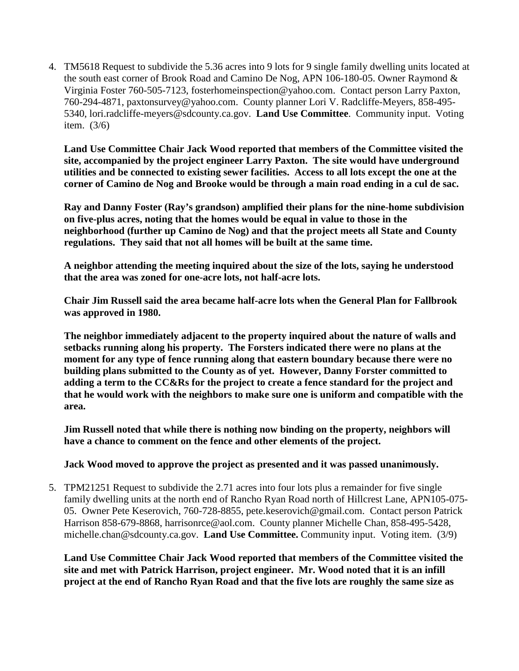4. TM5618 Request to subdivide the 5.36 acres into 9 lots for 9 single family dwelling units located at the south east corner of Brook Road and Camino De Nog, APN 106-180-05. Owner Raymond & Virginia Foster 760-505-7123, fosterhomeinspection@yahoo.com. Contact person Larry Paxton, 760-294-4871, paxtonsurvey@yahoo.com. County planner Lori V. Radcliffe-Meyers, 858-495- 5340, lori.radcliffe-meyers@sdcounty.ca.gov. **Land Use Committee**. Community input. Voting item. (3/6)

**Land Use Committee Chair Jack Wood reported that members of the Committee visited the site, accompanied by the project engineer Larry Paxton. The site would have underground utilities and be connected to existing sewer facilities. Access to all lots except the one at the corner of Camino de Nog and Brooke would be through a main road ending in a cul de sac.** 

**Ray and Danny Foster (Ray's grandson) amplified their plans for the nine-home subdivision on five-plus acres, noting that the homes would be equal in value to those in the neighborhood (further up Camino de Nog) and that the project meets all State and County regulations. They said that not all homes will be built at the same time.**

**A neighbor attending the meeting inquired about the size of the lots, saying he understood that the area was zoned for one-acre lots, not half-acre lots.**

**Chair Jim Russell said the area became half-acre lots when the General Plan for Fallbrook was approved in 1980.**

**The neighbor immediately adjacent to the property inquired about the nature of walls and setbacks running along his property. The Forsters indicated there were no plans at the moment for any type of fence running along that eastern boundary because there were no building plans submitted to the County as of yet. However, Danny Forster committed to adding a term to the CC&Rs for the project to create a fence standard for the project and that he would work with the neighbors to make sure one is uniform and compatible with the area.**

**Jim Russell noted that while there is nothing now binding on the property, neighbors will have a chance to comment on the fence and other elements of the project.**

**Jack Wood moved to approve the project as presented and it was passed unanimously.**

5. TPM21251 Request to subdivide the 2.71 acres into four lots plus a remainder for five single family dwelling units at the north end of Rancho Ryan Road north of Hillcrest Lane, APN105-075- 05. Owner Pete Keserovich, 760-728-8855, pete.keserovich@gmail.com. Contact person Patrick Harrison 858-679-8868, harrisonrce@aol.com. County planner Michelle Chan, 858-495-5428, michelle.chan@sdcounty.ca.gov. **Land Use Committee.** Community input. Voting item. (3/9)

**Land Use Committee Chair Jack Wood reported that members of the Committee visited the site and met with Patrick Harrison, project engineer. Mr. Wood noted that it is an infill project at the end of Rancho Ryan Road and that the five lots are roughly the same size as**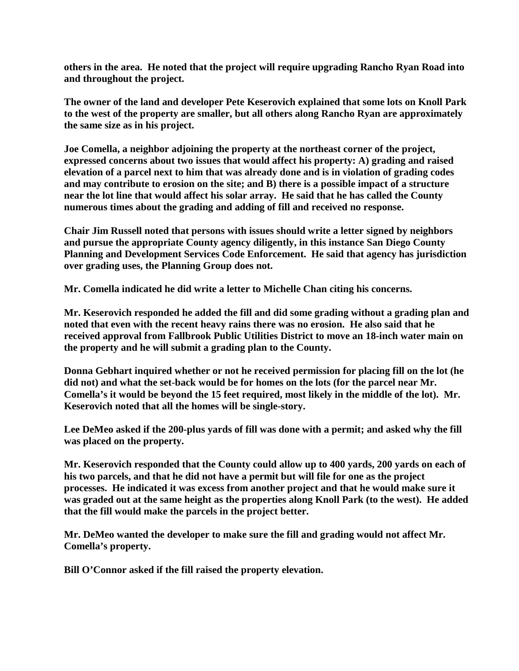**others in the area. He noted that the project will require upgrading Rancho Ryan Road into and throughout the project.**

**The owner of the land and developer Pete Keserovich explained that some lots on Knoll Park to the west of the property are smaller, but all others along Rancho Ryan are approximately the same size as in his project.**

**Joe Comella, a neighbor adjoining the property at the northeast corner of the project, expressed concerns about two issues that would affect his property: A) grading and raised elevation of a parcel next to him that was already done and is in violation of grading codes and may contribute to erosion on the site; and B) there is a possible impact of a structure near the lot line that would affect his solar array. He said that he has called the County numerous times about the grading and adding of fill and received no response.**

**Chair Jim Russell noted that persons with issues should write a letter signed by neighbors and pursue the appropriate County agency diligently, in this instance San Diego County Planning and Development Services Code Enforcement. He said that agency has jurisdiction over grading uses, the Planning Group does not.** 

**Mr. Comella indicated he did write a letter to Michelle Chan citing his concerns.**

**Mr. Keserovich responded he added the fill and did some grading without a grading plan and noted that even with the recent heavy rains there was no erosion. He also said that he received approval from Fallbrook Public Utilities District to move an 18-inch water main on the property and he will submit a grading plan to the County.**

**Donna Gebhart inquired whether or not he received permission for placing fill on the lot (he did not) and what the set-back would be for homes on the lots (for the parcel near Mr. Comella's it would be beyond the 15 feet required, most likely in the middle of the lot). Mr. Keserovich noted that all the homes will be single-story.**

**Lee DeMeo asked if the 200-plus yards of fill was done with a permit; and asked why the fill was placed on the property.**

**Mr. Keserovich responded that the County could allow up to 400 yards, 200 yards on each of his two parcels, and that he did not have a permit but will file for one as the project processes. He indicated it was excess from another project and that he would make sure it was graded out at the same height as the properties along Knoll Park (to the west). He added that the fill would make the parcels in the project better.**

**Mr. DeMeo wanted the developer to make sure the fill and grading would not affect Mr. Comella's property.**

**Bill O'Connor asked if the fill raised the property elevation.**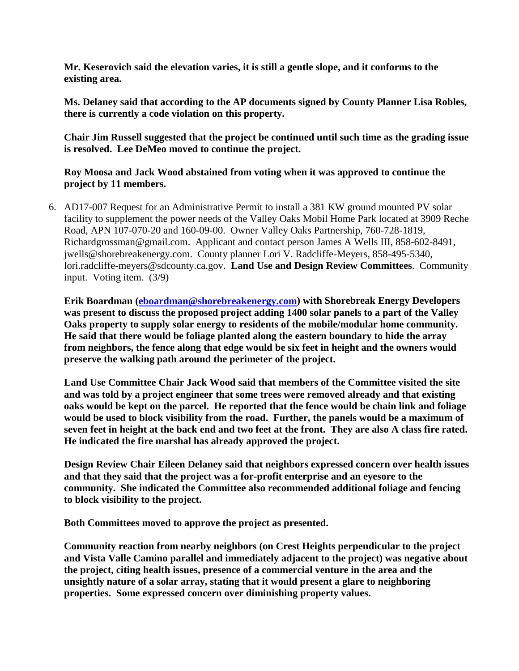**Mr. Keserovich said the elevation varies, it is still a gentle slope, and it conforms to the existing area.**

**Ms. Delaney said that according to the AP documents signed by County Planner Lisa Robles, there is currently a code violation on this property.**

**Chair Jim Russell suggested that the project be continued until such time as the grading issue is resolved. Lee DeMeo moved to continue the project.**

**Roy Moosa and Jack Wood abstained from voting when it was approved to continue the project by 11 members.**

6. AD17-007 Request for an Administrative Permit to install a 381 KW ground mounted PV solar facility to supplement the power needs of the Valley Oaks Mobil Home Park located at 3909 Reche Road, APN 107-070-20 and 160-09-00. Owner Valley Oaks Partnership, 760-728-1819, Richardgrossman@gmail.com. Applicant and contact person James A Wells III, 858-602-8491, jwells@shorebreakenergy.com. County planner Lori V. Radcliffe-Meyers, 858-495-5340, lori.radcliffe-meyers@sdcounty.ca.gov. **Land Use and Design Review Committees**. Community input. Voting item. (3/9)

**Erik Boardman [\(eboardman@shorebreakenergy.com\)](mailto:eboardman@shorebreakenergy.com) with Shorebreak Energy Developers was present to discuss the proposed project adding 1400 solar panels to a part of the Valley Oaks property to supply solar energy to residents of the mobile/modular home community. He said that there would be foliage planted along the eastern boundary to hide the array from neighbors, the fence along that edge would be six feet in height and the owners would preserve the walking path around the perimeter of the project.**

**Land Use Committee Chair Jack Wood said that members of the Committee visited the site and was told by a project engineer that some trees were removed already and that existing oaks would be kept on the parcel. He reported that the fence would be chain link and foliage would be used to block visibility from the road. Further, the panels would be a maximum of seven feet in height at the back end and two feet at the front. They are also A class fire rated. He indicated the fire marshal has already approved the project.**

**Design Review Chair Eileen Delaney said that neighbors expressed concern over health issues and that they said that the project was a for-profit enterprise and an eyesore to the community. She indicated the Committee also recommended additional foliage and fencing to block visibility to the project.**

**Both Committees moved to approve the project as presented.**

**Community reaction from nearby neighbors (on Crest Heights perpendicular to the project and Vista Valle Camino parallel and immediately adjacent to the project) was negative about the project, citing health issues, presence of a commercial venture in the area and the unsightly nature of a solar array, stating that it would present a glare to neighboring properties. Some expressed concern over diminishing property values.**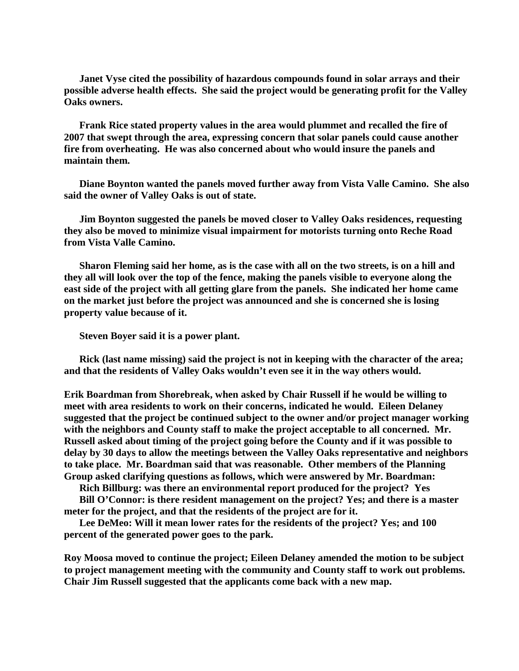**Janet Vyse cited the possibility of hazardous compounds found in solar arrays and their possible adverse health effects. She said the project would be generating profit for the Valley Oaks owners.**

**Frank Rice stated property values in the area would plummet and recalled the fire of 2007 that swept through the area, expressing concern that solar panels could cause another fire from overheating. He was also concerned about who would insure the panels and maintain them.**

**Diane Boynton wanted the panels moved further away from Vista Valle Camino. She also said the owner of Valley Oaks is out of state.**

**Jim Boynton suggested the panels be moved closer to Valley Oaks residences, requesting they also be moved to minimize visual impairment for motorists turning onto Reche Road from Vista Valle Camino.**

**Sharon Fleming said her home, as is the case with all on the two streets, is on a hill and they all will look over the top of the fence, making the panels visible to everyone along the east side of the project with all getting glare from the panels. She indicated her home came on the market just before the project was announced and she is concerned she is losing property value because of it.**

**Steven Boyer said it is a power plant.**

**Rick (last name missing) said the project is not in keeping with the character of the area; and that the residents of Valley Oaks wouldn't even see it in the way others would.**

**Erik Boardman from Shorebreak, when asked by Chair Russell if he would be willing to meet with area residents to work on their concerns, indicated he would. Eileen Delaney suggested that the project be continued subject to the owner and/or project manager working with the neighbors and County staff to make the project acceptable to all concerned. Mr. Russell asked about timing of the project going before the County and if it was possible to delay by 30 days to allow the meetings between the Valley Oaks representative and neighbors to take place. Mr. Boardman said that was reasonable. Other members of the Planning Group asked clarifying questions as follows, which were answered by Mr. Boardman:**

**Rich Billburg: was there an environmental report produced for the project? Yes**

**Bill O'Connor: is there resident management on the project? Yes; and there is a master meter for the project, and that the residents of the project are for it.**

**Lee DeMeo: Will it mean lower rates for the residents of the project? Yes; and 100 percent of the generated power goes to the park.**

**Roy Moosa moved to continue the project; Eileen Delaney amended the motion to be subject to project management meeting with the community and County staff to work out problems. Chair Jim Russell suggested that the applicants come back with a new map.**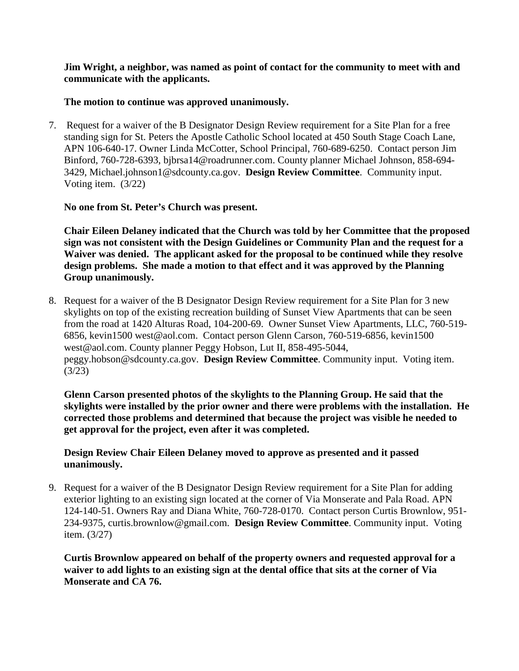**Jim Wright, a neighbor, was named as point of contact for the community to meet with and communicate with the applicants.**

### **The motion to continue was approved unanimously.**

7. Request for a waiver of the B Designator Design Review requirement for a Site Plan for a free standing sign for St. Peters the Apostle Catholic School located at 450 South Stage Coach Lane, APN 106-640-17. Owner Linda McCotter, School Principal, 760-689-6250. Contact person Jim Binford, 760-728-6393, bjbrsa14@roadrunner.com. County planner Michael Johnson, 858-694- 3429, Michael.johnson1@sdcounty.ca.gov. **Design Review Committee**. Community input. Voting item. (3/22)

**No one from St. Peter's Church was present.**

**Chair Eileen Delaney indicated that the Church was told by her Committee that the proposed sign was not consistent with the Design Guidelines or Community Plan and the request for a Waiver was denied. The applicant asked for the proposal to be continued while they resolve design problems. She made a motion to that effect and it was approved by the Planning Group unanimously.**

8. Request for a waiver of the B Designator Design Review requirement for a Site Plan for 3 new skylights on top of the existing recreation building of Sunset View Apartments that can be seen from the road at 1420 Alturas Road, 104-200-69. Owner Sunset View Apartments, LLC, 760-519- 6856, kevin1500 west@aol.com. Contact person Glenn Carson, 760-519-6856, kevin1500 west@aol.com. County planner Peggy Hobson, Lut II, 858-495-5044, peggy.hobson@sdcounty.ca.gov. **Design Review Committee**. Community input. Voting item. (3/23)

**Glenn Carson presented photos of the skylights to the Planning Group. He said that the skylights were installed by the prior owner and there were problems with the installation. He corrected those problems and determined that because the project was visible he needed to get approval for the project, even after it was completed.**

**Design Review Chair Eileen Delaney moved to approve as presented and it passed unanimously.**

9. Request for a waiver of the B Designator Design Review requirement for a Site Plan for adding exterior lighting to an existing sign located at the corner of Via Monserate and Pala Road. APN 124-140-51. Owners Ray and Diana White, 760-728-0170. Contact person Curtis Brownlow, 951- 234-9375, curtis.brownlow@gmail.com. **Design Review Committee**. Community input. Voting item. (3/27)

**Curtis Brownlow appeared on behalf of the property owners and requested approval for a waiver to add lights to an existing sign at the dental office that sits at the corner of Via Monserate and CA 76.**